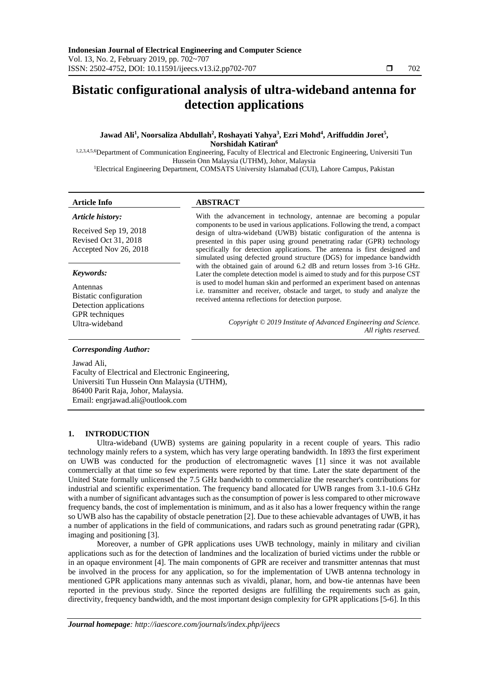# **Bistatic configurational analysis of ultra-wideband antenna for detection applications**

# **Jawad Ali<sup>1</sup> , Noorsaliza Abdullah<sup>2</sup> , Roshayati Yahya<sup>3</sup> , Ezri Mohd<sup>4</sup> , Ariffuddin Joret<sup>5</sup> , Norshidah Katiran<sup>6</sup>**

1,2,3,4,5,6 Department of Communication Engineering, Faculty of Electrical and Electronic Engineering, Universiti Tun Hussein Onn Malaysia (UTHM), Johor, Malaysia <sup>1</sup>Electrical Engineering Department, COMSATS University Islamabad (CUI), Lahore Campus, Pakistan

# **Article Info ABSTRACT**

| Article history:                                                       | With the advancement in technology, antennae are becoming a popular<br>components to be used in various applications. Following the trend, a compact<br>design of ultra-wideband (UWB) bistatic configuration of the antenna is<br>presented in this paper using ground penetrating radar (GPR) technology<br>specifically for detection applications. The antenna is first designed and<br>simulated using defected ground structure (DGS) for impedance bandwidth<br>with the obtained gain of around 6.2 dB and return losses from 3-16 GHz.<br>Later the complete detection model is aimed to study and for this purpose CST |  |
|------------------------------------------------------------------------|----------------------------------------------------------------------------------------------------------------------------------------------------------------------------------------------------------------------------------------------------------------------------------------------------------------------------------------------------------------------------------------------------------------------------------------------------------------------------------------------------------------------------------------------------------------------------------------------------------------------------------|--|
| Received Sep 19, 2018<br>Revised Oct 31, 2018<br>Accepted Nov 26, 2018 |                                                                                                                                                                                                                                                                                                                                                                                                                                                                                                                                                                                                                                  |  |
| Keywords:                                                              |                                                                                                                                                                                                                                                                                                                                                                                                                                                                                                                                                                                                                                  |  |
| Antennas                                                               | is used to model human skin and performed an experiment based on antennas<br>i.e. transmitter and receiver, obstacle and target, to study and analyze the                                                                                                                                                                                                                                                                                                                                                                                                                                                                        |  |
| Bistatic configuration<br>Detection applications                       | received antenna reflections for detection purpose.                                                                                                                                                                                                                                                                                                                                                                                                                                                                                                                                                                              |  |
| <b>GPR</b> techniques                                                  |                                                                                                                                                                                                                                                                                                                                                                                                                                                                                                                                                                                                                                  |  |
| Ultra-wideband                                                         | Copyright © 2019 Institute of Advanced Engineering and Science.<br>All rights reserved.                                                                                                                                                                                                                                                                                                                                                                                                                                                                                                                                          |  |
| <b>Corresponding Author:</b>                                           |                                                                                                                                                                                                                                                                                                                                                                                                                                                                                                                                                                                                                                  |  |

Jawad Ali,

Faculty of Electrical and Electronic Engineering, Universiti Tun Hussein Onn Malaysia (UTHM), 86400 Parit Raja, Johor, Malaysia. Email: engrjawad.ali@outlook.com

# **1. INTRODUCTION**

Ultra-wideband (UWB) systems are gaining popularity in a recent couple of years. This radio technology mainly refers to a system, which has very large operating bandwidth. In 1893 the first experiment on UWB was conducted for the production of electromagnetic waves [1] since it was not available commercially at that time so few experiments were reported by that time. Later the state department of the United State formally unlicensed the 7.5 GHz bandwidth to commercialize the researcher's contributions for industrial and scientific experimentation. The frequency band allocated for UWB ranges from 3.1-10.6 GHz with a number of significant advantages such as the consumption of power is less compared to other microwave frequency bands, the cost of implementation is minimum, and as it also has a lower frequency within the range so UWB also has the capability of obstacle penetration [2]. Due to these achievable advantages of UWB, it has a number of applications in the field of communications, and radars such as ground penetrating radar (GPR), imaging and positioning [3].

Moreover, a number of GPR applications uses UWB technology, mainly in military and civilian applications such as for the detection of landmines and the localization of buried victims under the rubble or in an opaque environment [4]. The main components of GPR are receiver and transmitter antennas that must be involved in the process for any application, so for the implementation of UWB antenna technology in mentioned GPR applications many antennas such as vivaldi, planar, horn, and bow-tie antennas have been reported in the previous study. Since the reported designs are fulfilling the requirements such as gain, directivity, frequency bandwidth, and the most important design complexity for GPR applications [5-6]. In this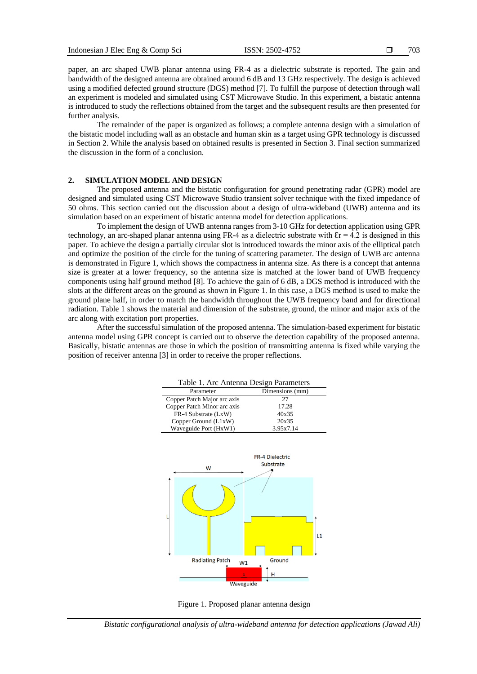703

paper, an arc shaped UWB planar antenna using FR-4 as a dielectric substrate is reported. The gain and bandwidth of the designed antenna are obtained around 6 dB and 13 GHz respectively. The design is achieved using a modified defected ground structure (DGS) method [7]. To fulfill the purpose of detection through wall an experiment is modeled and simulated using CST Microwave Studio. In this experiment, a bistatic antenna is introduced to study the reflections obtained from the target and the subsequent results are then presented for further analysis.

The remainder of the paper is organized as follows; a complete antenna design with a simulation of the bistatic model including wall as an obstacle and human skin as a target using GPR technology is discussed in Section 2. While the analysis based on obtained results is presented in Section 3. Final section summarized the discussion in the form of a conclusion.

### **2. SIMULATION MODEL AND DESIGN**

The proposed antenna and the bistatic configuration for ground penetrating radar (GPR) model are designed and simulated using CST Microwave Studio transient solver technique with the fixed impedance of 50 ohms. This section carried out the discussion about a design of ultra-wideband (UWB) antenna and its simulation based on an experiment of bistatic antenna model for detection applications.

To implement the design of UWB antenna ranges from 3-10 GHz for detection application using GPR technology, an arc-shaped planar antenna using FR-4 as a dielectric substrate with  $\epsilon$ r = 4.2 is designed in this paper. To achieve the design a partially circular slot is introduced towards the minor axis of the elliptical patch and optimize the position of the circle for the tuning of scattering parameter. The design of UWB arc antenna is demonstrated in Figure 1, which shows the compactness in antenna size. As there is a concept that antenna size is greater at a lower frequency, so the antenna size is matched at the lower band of UWB frequency components using half ground method [8]. To achieve the gain of 6 dB, a DGS method is introduced with the slots at the different areas on the ground as shown in Figure 1. In this case, a DGS method is used to make the ground plane half, in order to match the bandwidth throughout the UWB frequency band and for directional radiation. Table 1 shows the material and dimension of the substrate, ground, the minor and major axis of the arc along with excitation port properties.

After the successful simulation of the proposed antenna. The simulation-based experiment for bistatic antenna model using GPR concept is carried out to observe the detection capability of the proposed antenna. Basically, bistatic antennas are those in which the position of transmitting antenna is fixed while varying the position of receiver antenna [3] in order to receive the proper reflections.

| Table 1. Arc Antenna Design Parameters |                 |  |
|----------------------------------------|-----------------|--|
| Parameter                              | Dimensions (mm) |  |
| Copper Patch Major arc axis            | 27              |  |
| Copper Patch Minor arc axis            | 17.28           |  |
| FR-4 Substrate (LxW)                   | 40x35           |  |
| Copper Ground (L1xW)                   | 20x35           |  |
| Waveguide Port (HxW1)                  | 3.95x7.14       |  |



Figure 1. Proposed planar antenna design

*Bistatic configurational analysis of ultra-wideband antenna for detection applications (Jawad Ali)*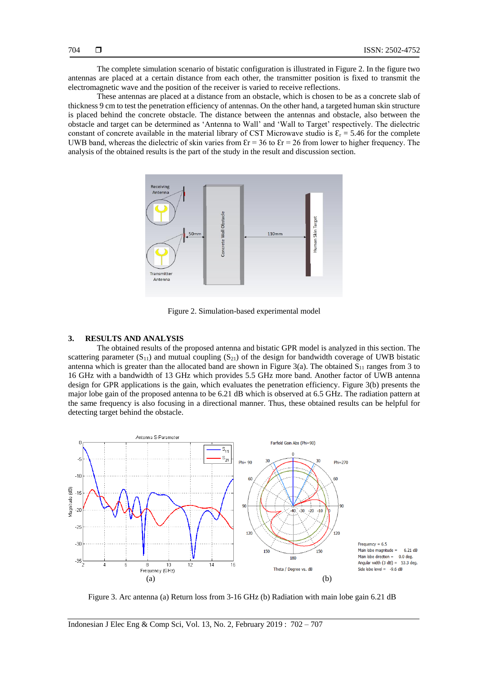The complete simulation scenario of bistatic configuration is illustrated in Figure 2. In the figure two antennas are placed at a certain distance from each other, the transmitter position is fixed to transmit the electromagnetic wave and the position of the receiver is varied to receive reflections.

These antennas are placed at a distance from an obstacle, which is chosen to be as a concrete slab of thickness 9 cm to test the penetration efficiency of antennas. On the other hand, a targeted human skin structure is placed behind the concrete obstacle. The distance between the antennas and obstacle, also between the obstacle and target can be determined as 'Antenna to Wall' and 'Wall to Target' respectively. The dielectric constant of concrete available in the material library of CST Microwave studio is  $\mathcal{E}_r = 5.46$  for the complete UWB band, whereas the dielectric of skin varies from  $\epsilon$ r = 36 to  $\epsilon$ r = 26 from lower to higher frequency. The analysis of the obtained results is the part of the study in the result and discussion section.



Figure 2. Simulation-based experimental model

#### **3. RESULTS AND ANALYSIS**

The obtained results of the proposed antenna and bistatic GPR model is analyzed in this section. The scattering parameter  $(S_{11})$  and mutual coupling  $(S_{21})$  of the design for bandwidth coverage of UWB bistatic antenna which is greater than the allocated band are shown in Figure 3(a). The obtained  $S_{11}$  ranges from 3 to 16 GHz with a bandwidth of 13 GHz which provides 5.5 GHz more band. Another factor of UWB antenna design for GPR applications is the gain, which evaluates the penetration efficiency. Figure 3(b) presents the major lobe gain of the proposed antenna to be 6.21 dB which is observed at 6.5 GHz. The radiation pattern at the same frequency is also focusing in a directional manner. Thus, these obtained results can be helpful for detecting target behind the obstacle.



Figure 3. Arc antenna (a) Return loss from 3-16 GHz (b) Radiation with main lobe gain 6.21 dB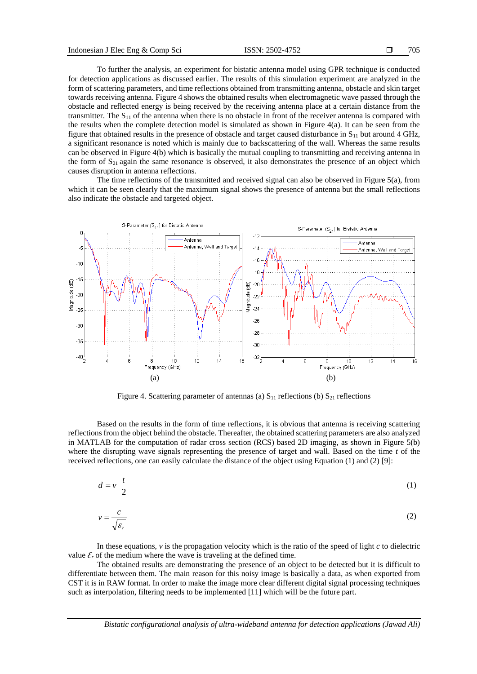*r*

To further the analysis, an experiment for bistatic antenna model using GPR technique is conducted for detection applications as discussed earlier. The results of this simulation experiment are analyzed in the form of scattering parameters, and time reflections obtained from transmitting antenna, obstacle and skin target towards receiving antenna. Figure 4 shows the obtained results when electromagnetic wave passed through the obstacle and reflected energy is being received by the receiving antenna place at a certain distance from the transmitter. The S<sup>11</sup> of the antenna when there is no obstacle in front of the receiver antenna is compared with the results when the complete detection model is simulated as shown in Figure 4(a). It can be seen from the figure that obtained results in the presence of obstacle and target caused disturbance in  $S_{11}$  but around 4 GHz, a significant resonance is noted which is mainly due to backscattering of the wall. Whereas the same results can be observed in Figure 4(b) which is basically the mutual coupling to transmitting and receiving antenna in the form of  $S_{21}$  again the same resonance is observed, it also demonstrates the presence of an object which causes disruption in antenna reflections.

The time reflections of the transmitted and received signal can also be observed in Figure 5(a), from which it can be seen clearly that the maximum signal shows the presence of antenna but the small reflections also indicate the obstacle and targeted object.



Figure 4. Scattering parameter of antennas (a)  $S_{11}$  reflections (b)  $S_{21}$  reflections

Based on the results in the form of time reflections, it is obvious that antenna is receiving scattering reflections from the object behind the obstacle. Thereafter, the obtained scattering parameters are also analyzed in MATLAB for the computation of radar cross section (RCS) based 2D imaging, as shown in Figure 5(b) where the disrupting wave signals representing the presence of target and wall. Based on the time *t* of the received reflections, one can easily calculate the distance of the object using Equation (1) and (2) [9]:

$$
d = v \frac{t}{2}
$$
 (1)  

$$
v = \frac{c}{\sqrt{2}}
$$
 (2)

In these equations, 
$$
v
$$
 is the propagation velocity which is the ratio of the speed of light  $c$  to dielectric value  $\mathcal{E}_r$  of the medium where the wave is traveling at the defined time.

The obtained results are demonstrating the presence of an object to be detected but it is difficult to differentiate between them. The main reason for this noisy image is basically a data, as when exported from CST it is in RAW format. In order to make the image more clear different digital signal processing techniques such as interpolation, filtering needs to be implemented [11] which will be the future part.

*Bistatic configurational analysis of ultra-wideband antenna for detection applications (Jawad Ali)*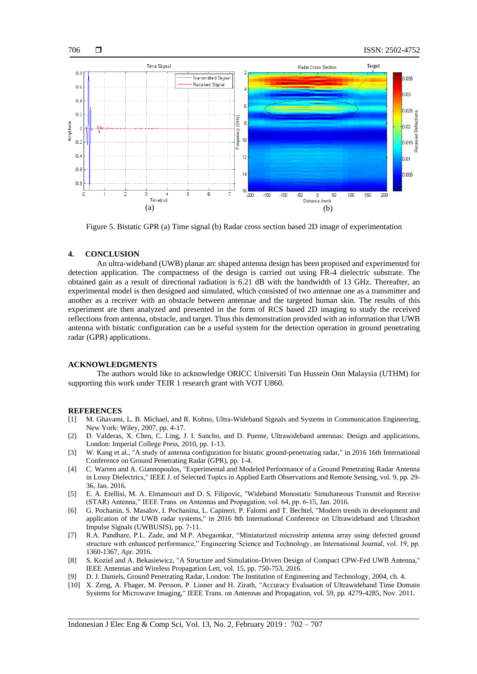



Figure 5. Bistatic GPR (a) Time signal (b) Radar cross section based 2D image of experimentation

## **4. CONCLUSION**

An ultra-wideband (UWB) planar arc shaped antenna design has been proposed and experimented for detection application. The compactness of the design is carried out using FR-4 dielectric substrate. The obtained gain as a result of directional radiation is 6.21 dB with the bandwidth of 13 GHz. Thereafter, an experimental model is then designed and simulated, which consisted of two antennae one as a transmitter and another as a receiver with an obstacle between antennae and the targeted human skin. The results of this experiment are then analyzed and presented in the form of RCS based 2D imaging to study the received reflections from antenna, obstacle, and target. Thus this demonstration provided with an information that UWB antenna with bistatic configuration can be a useful system for the detection operation in ground penetrating radar (GPR) applications.

### **ACKNOWLEDGMENTS**

The authors would like to acknowledge ORICC Universiti Tun Hussein Onn Malaysia (UTHM) for supporting this work under TEIR 1 research grant with VOT U860.

#### **REFERENCES**

- [1] M. Ghavami, L. B. Michael, and R. Kohno, Ultra-Wideband Signals and Systems in Communication Engineering, New York: Wiley, 2007, pp. 4-17.
- [2] D. Valderas, X. Chen, C. Ling, J. I. Sancho, and D. Puente, Ultrawideband antennas: Design and applications, London: Imperial College Press, 2010, pp. 1-13.
- [3] W. Kang et al., "A study of antenna configuration for bistatic ground-penetrating radar," in 2016 16th International Conference on Ground Penetrating Radar (GPR), pp. 1-4.
- [4] C. Warren and A. Giannopoulos, "Experimental and Modeled Performance of a Ground Penetrating Radar Antenna in Lossy Dielectrics," IEEE J. of Selected Topics in Applied Earth Observations and Remote Sensing, vol. 9, pp. 29- 36, Jan. 2016.
- [5] E. A. Etellisi, M. A. Elmansouri and D. S. Filipovic, "Wideband Monostatic Simultaneous Transmit and Receive (STAR) Antenna," IEEE Trans. on Antennas and Propagation, vol. 64, pp. 6-15, Jan. 2016.
- [6] G. Pochanin, S. Masalov, I. Pochanina, L. Capineri, P. Falorni and T. Bechtel, "Modern trends in development and application of the UWB radar systems," in 2016 8th International Conference on Ultrawideband and Ultrashort Impulse Signals (UWBUSIS), pp. 7-11.
- [7] R.A. Pandhare, P.L. Zade, and M.P. Abegaonkar, "Miniaturized microstrip antenna array using defected ground structure with enhanced performance," Engineering Science and Technology, an International Journal, vol. 19, pp. 1360-1367, Apr. 2016.
- [8] S. Koziel and A. Bekasiewicz, "A Structure and Simulation-Driven Design of Compact CPW-Fed UWB Antenna," IEEE Antennas and Wireless Propagation Lett, vol. 15, pp. 750-753, 2016.
- [9] D. J. Daniels, Ground Penetrating Radar, London: The Institution of Engineering and Technology, 2004, ch. 4.
- [10] X. Zeng, A. Fhager, M. Persson, P. Linner and H. Zirath, "Accuracy Evaluation of Ultrawideband Time Domain Systems for Microwave Imaging," IEEE Trans. on Antennas and Propagation, vol. 59, pp. 4279-4285, Nov. 2011.